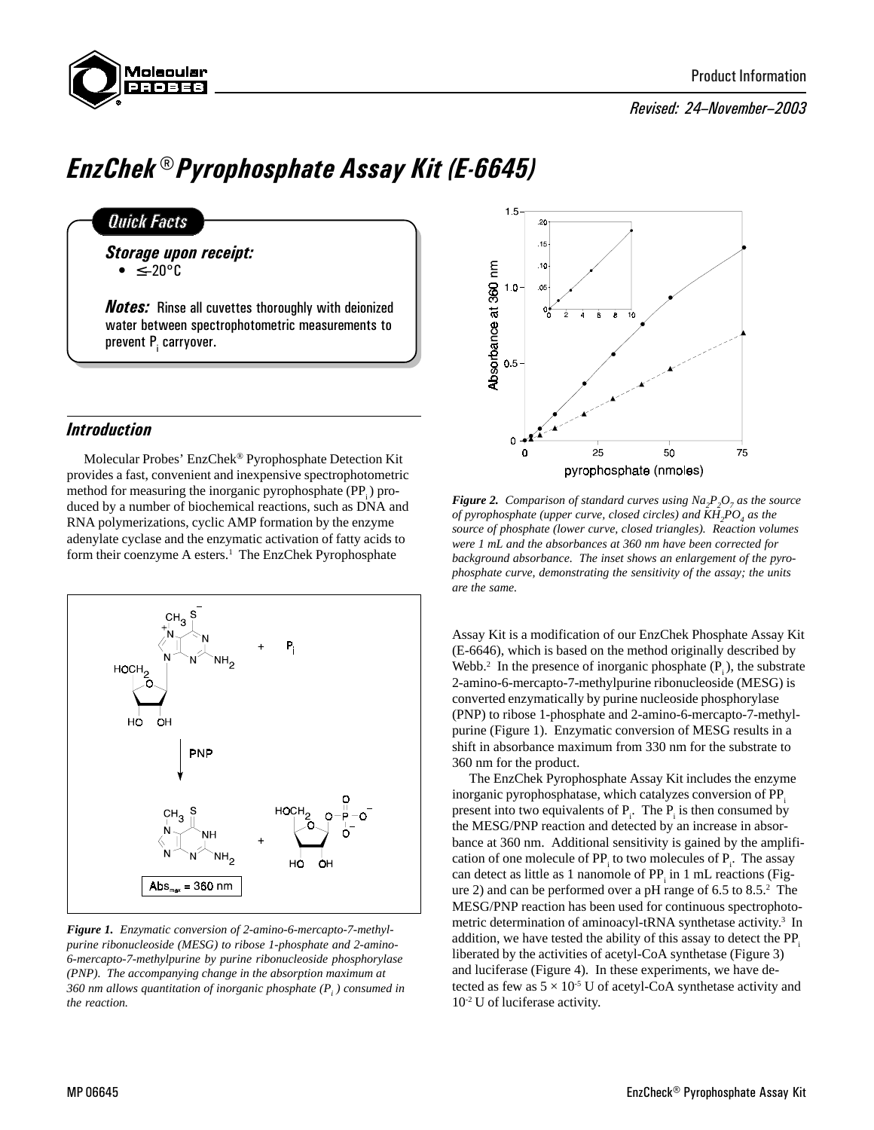

## Revised: 24-November-2003

# EnzChek® Pyrophosphate Assay Kit (E-6645)

# **Quick Facts**

Storage upon receipt: ≤20°C

**Notes:** Rinse all cuvettes thoroughly with deionized water between spectrophotometric measurements to prevent P<sub>i</sub> carryover.

# Introduction

Molecular Probes' EnzChek® Pyrophosphate Detection Kit provides a fast, convenient and inexpensive spectrophotometric method for measuring the inorganic pyrophosphate  $(PP_i)$  produced by a number of biochemical reactions, such as DNA and RNA polymerizations, cyclic AMP formation by the enzyme adenylate cyclase and the enzymatic activation of fatty acids to form their coenzyme A esters.<sup>1</sup> The EnzChek Pyrophosphate



*Figure 1. Enzymatic conversion of 2-amino-6-mercapto-7-methylpurine ribonucleoside (MESG) to ribose 1-phosphate and 2-amino-6-mercapto-7-methylpurine by purine ribonucleoside phosphorylase (PNP). The accompanying change in the absorption maximum at 360 nm allows quantitation of inorganic phosphate (Pi ) consumed in the reaction.*



*Figure 2. Comparison of standard curves using*  $Na_2P_2O_7$  *as the source of pyrophosphate (upper curve, closed circles) and*  $KH_{2}PO_{4}$  *as the source of phosphate (lower curve, closed triangles). Reaction volumes were 1 mL and the absorbances at 360 nm have been corrected for background absorbance. The inset shows an enlargement of the pyrophosphate curve, demonstrating the sensitivity of the assay; the units are the same.*

Assay Kit is a modification of our EnzChek Phosphate Assay Kit (E-6646), which is based on the method originally described by Webb.<sup>2</sup> In the presence of inorganic phosphate  $(P_i)$ , the substrate 2-amino-6-mercapto-7-methylpurine ribonucleoside (MESG) is converted enzymatically by purine nucleoside phosphorylase (PNP) to ribose 1-phosphate and 2-amino-6-mercapto-7-methylpurine (Figure 1). Enzymatic conversion of MESG results in a shift in absorbance maximum from 330 nm for the substrate to 360 nm for the product.

The EnzChek Pyrophosphate Assay Kit includes the enzyme inorganic pyrophosphatase, which catalyzes conversion of PP. present into two equivalents of  $P_i$ . The  $P_i$  is then consumed by the MESG/PNP reaction and detected by an increase in absorbance at 360 nm. Additional sensitivity is gained by the amplification of one molecule of  $PP_i$  to two molecules of  $P_i$ . The assay can detect as little as 1 nanomole of  $PP_i$  in 1 mL reactions (Figure 2) and can be performed over a pH range of 6.5 to 8.5.2 The MESG/PNP reaction has been used for continuous spectrophotometric determination of aminoacyl-tRNA synthetase activity.<sup>3</sup> In addition, we have tested the ability of this assay to detect the PP. liberated by the activities of acetyl-CoA synthetase (Figure 3) and luciferase (Figure 4). In these experiments, we have detected as few as  $5 \times 10^{-5}$  U of acetyl-CoA synthetase activity and 10-2 U of luciferase activity.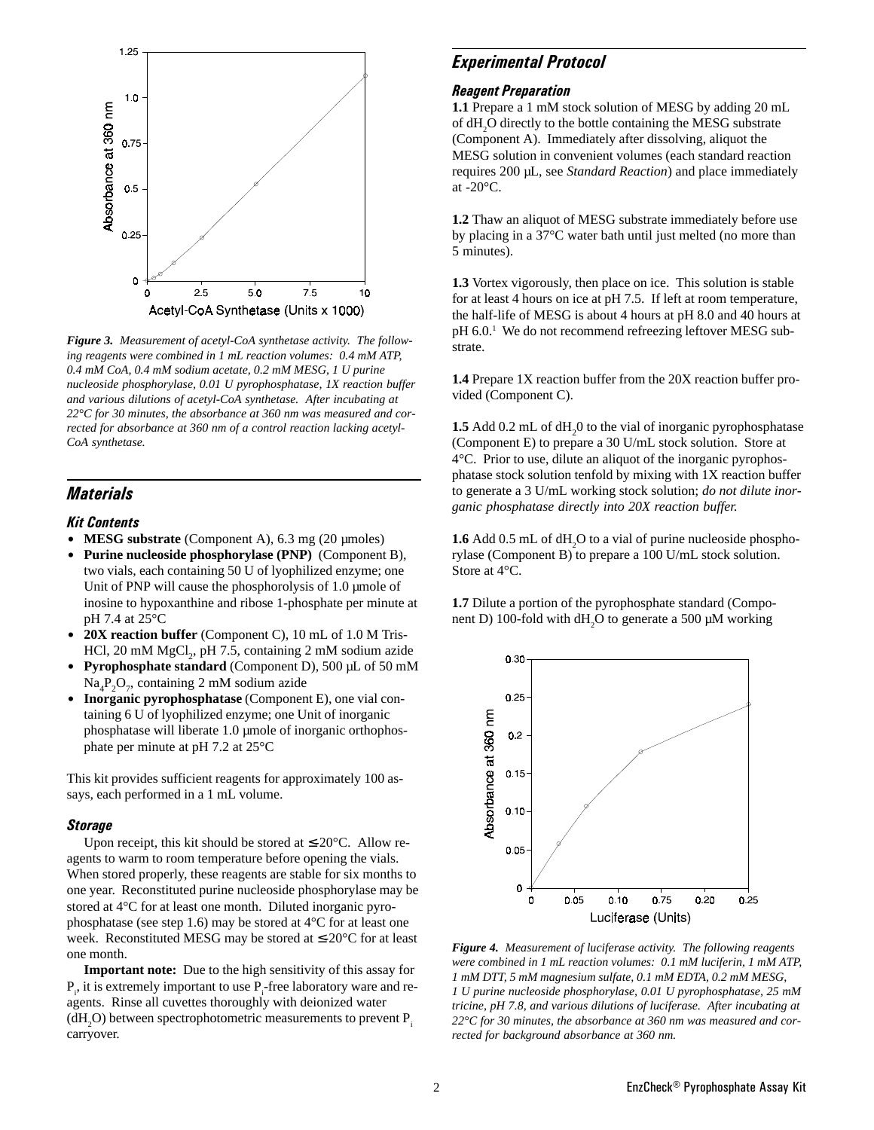

*Figure 3. Measurement of acetyl-CoA synthetase activity. The following reagents were combined in 1 mL reaction volumes: 0.4 mM ATP, 0.4 mM CoA, 0.4 mM sodium acetate, 0.2 mM MESG, 1 U purine nucleoside phosphorylase, 0.01 U pyrophosphatase, 1X reaction buffer and various dilutions of acetyl-CoA synthetase. After incubating at 22°C for 30 minutes, the absorbance at 360 nm was measured and corrected for absorbance at 360 nm of a control reaction lacking acetyl-CoA synthetase.*

# **Materials**

#### Kit Contents

- **MESG substrate** (Component A), 6.3 mg (20 µmoles)
- Purine nucleoside phosphorylase (PNP) (Component B), two vials, each containing 50 U of lyophilized enzyme; one Unit of PNP will cause the phosphorolysis of 1.0 µmole of inosine to hypoxanthine and ribose 1-phosphate per minute at pH 7.4 at 25°C
- 20X reaction buffer (Component C), 10 mL of 1.0 M Tris-HCl, 20 mM  $MgCl_2$ , pH 7.5, containing 2 mM sodium azide
- Pyrophosphate standard (Component D), 500 µL of 50 mM  $\text{Na}_4\text{P}_2\text{O}_7$ , containing 2 mM sodium azide
- **Inorganic pyrophosphatase** (Component E), one vial containing 6 U of lyophilized enzyme; one Unit of inorganic phosphatase will liberate 1.0 µmole of inorganic orthophosphate per minute at pH 7.2 at 25°C

This kit provides sufficient reagents for approximately 100 assays, each performed in a 1 mL volume.

#### **Storage**

Upon receipt, this kit should be stored at  $\leq$ -20 $^{\circ}$ C. Allow reagents to warm to room temperature before opening the vials. When stored properly, these reagents are stable for six months to one year. Reconstituted purine nucleoside phosphorylase may be stored at 4°C for at least one month. Diluted inorganic pyrophosphatase (see step 1.6) may be stored at 4°C for at least one week. Reconstituted MESG may be stored at ≤-20°C for at least one month.

**Important note:** Due to the high sensitivity of this assay for  $P_i$ , it is extremely important to use  $P_i$ -free laboratory ware and reagents. Rinse all cuvettes thoroughly with deionized water  $(dH_2O)$  between spectrophotometric measurements to prevent  $P_i$ carryover.

## Experimental Protocol

#### Reagent Preparation

**1.1** Prepare a 1 mM stock solution of MESG by adding 20 mL of dH<sub>2</sub>O directly to the bottle containing the MESG substrate (Component A). Immediately after dissolving, aliquot the MESG solution in convenient volumes (each standard reaction requires 200 µL, see *Standard Reaction*) and place immediately at -20°C.

**1.2** Thaw an aliquot of MESG substrate immediately before use by placing in a 37°C water bath until just melted (no more than 5 minutes).

**1.3** Vortex vigorously, then place on ice. This solution is stable for at least 4 hours on ice at pH 7.5. If left at room temperature, the half-life of MESG is about 4 hours at pH 8.0 and 40 hours at pH 6.0.<sup>1</sup> We do not recommend refreezing leftover MESG substrate.

**1.4** Prepare 1X reaction buffer from the 20X reaction buffer provided (Component C).

**1.5** Add 0.2 mL of dH<sub>2</sub>0 to the vial of inorganic pyrophosphatase (Component E) to prepare a 30 U/mL stock solution. Store at 4°C. Prior to use, dilute an aliquot of the inorganic pyrophosphatase stock solution tenfold by mixing with 1X reaction buffer to generate a 3 U/mL working stock solution; *do not dilute inorganic phosphatase directly into 20X reaction buffer.*

**1.6** Add 0.5 mL of dH<sub>2</sub>O to a vial of purine nucleoside phosphorylase (Component B) to prepare a 100 U/mL stock solution. Store at 4°C.

**1.7** Dilute a portion of the pyrophosphate standard (Component D) 100-fold with  $dH_2O$  to generate a 500  $\mu$ M working



*Figure 4. Measurement of luciferase activity. The following reagents were combined in 1 mL reaction volumes: 0.1 mM luciferin, 1 mM ATP, 1 mM DTT, 5 mM magnesium sulfate, 0.1 mM EDTA, 0.2 mM MESG, 1 U purine nucleoside phosphorylase, 0.01 U pyrophosphatase, 25 mM tricine, pH 7.8, and various dilutions of luciferase. After incubating at 22°C for 30 minutes, the absorbance at 360 nm was measured and corrected for background absorbance at 360 nm.*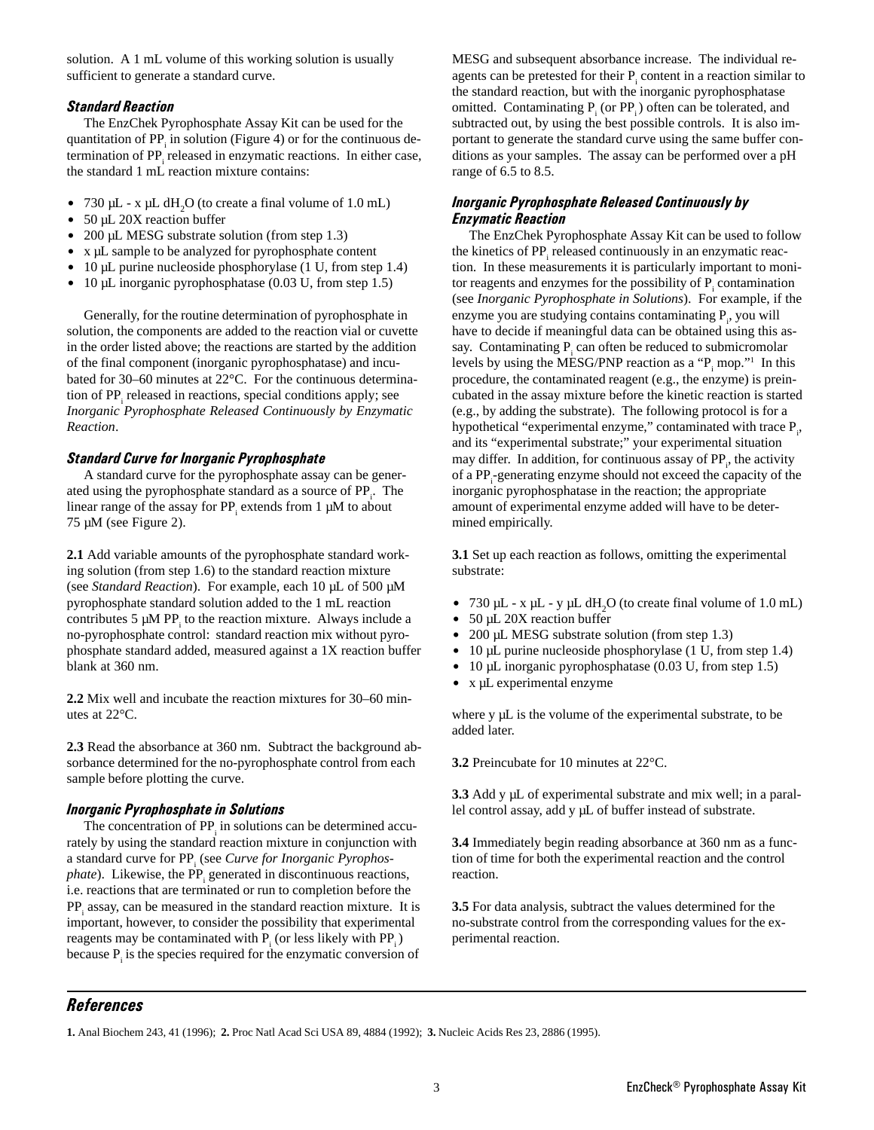solution. A 1 mL volume of this working solution is usually sufficient to generate a standard curve.

## Standard Reaction

The EnzChek Pyrophosphate Assay Kit can be used for the quantitation of  $PP_i$  in solution (Figure 4) or for the continuous determination of PP<sub>i</sub> released in enzymatic reactions. In either case, the standard 1 mL reaction mixture contains:

- 730  $\mu$ L x  $\mu$ L dH<sub>2</sub>O (to create a final volume of 1.0 mL)
- $\bullet$  50 µL 20X reaction buffer
- $\bullet$  200 µL MESG substrate solution (from step 1.3)
- x µL sample to be analyzed for pyrophosphate content
- $\bullet$  10 µL purine nucleoside phosphorylase (1 U, from step 1.4)
- $\bullet$  10 µL inorganic pyrophosphatase (0.03 U, from step 1.5)

Generally, for the routine determination of pyrophosphate in solution, the components are added to the reaction vial or cuvette in the order listed above; the reactions are started by the addition of the final component (inorganic pyrophosphatase) and incubated for 30–60 minutes at 22°C. For the continuous determination of PP<sub>i</sub> released in reactions, special conditions apply; see *Inorganic Pyrophosphate Released Continuously by Enzymatic Reaction*.

## Standard Curve for Inorganic Pyrophosphate

A standard curve for the pyrophosphate assay can be generated using the pyrophosphate standard as a source of PP<sub>i</sub>. The linear range of the assay for  $PP_i$  extends from 1  $\mu$ M to about 75 µM (see Figure 2).

**2.1** Add variable amounts of the pyrophosphate standard working solution (from step 1.6) to the standard reaction mixture (see *Standard Reaction*). For example, each 10 µL of 500 µM pyrophosphate standard solution added to the 1 mL reaction contributes  $5 \mu M PP_i$  to the reaction mixture. Always include a no-pyrophosphate control: standard reaction mix without pyrophosphate standard added, measured against a 1X reaction buffer blank at 360 nm.

**2.2** Mix well and incubate the reaction mixtures for 30–60 minutes at 22°C.

**2.3** Read the absorbance at 360 nm. Subtract the background absorbance determined for the no-pyrophosphate control from each sample before plotting the curve.

## Inorganic Pyrophosphate in Solutions

The concentration of  $PP_i$  in solutions can be determined accurately by using the standard reaction mixture in conjunction with a standard curve for PP<sub>i</sub> (see *Curve for Inorganic Pyrophosphate*). Likewise, the PP<sub>i</sub> generated in discontinuous reactions, i.e. reactions that are terminated or run to completion before the PP<sub>i</sub> assay, can be measured in the standard reaction mixture. It is important, however, to consider the possibility that experimental reagents may be contaminated with  $P_i$  (or less likely with  $PP_i$ ) because  $P_i$  is the species required for the enzymatic conversion of

MESG and subsequent absorbance increase. The individual reagents can be pretested for their  $P_i$  content in a reaction similar to the standard reaction, but with the inorganic pyrophosphatase omitted. Contaminating  $P_i$  (or  $PP_i$ ) often can be tolerated, and subtracted out, by using the best possible controls. It is also important to generate the standard curve using the same buffer conditions as your samples. The assay can be performed over a pH range of 6.5 to 8.5.

## Inorganic Pyrophosphate Released Continuously by Enzymatic Reaction

The EnzChek Pyrophosphate Assay Kit can be used to follow the kinetics of PP<sub>i</sub> released continuously in an enzymatic reaction. In these measurements it is particularly important to monitor reagents and enzymes for the possibility of  $P_i$  contamination (see *Inorganic Pyrophosphate in Solutions*). For example, if the enzyme you are studying contains contaminating  $P_i$ , you will have to decide if meaningful data can be obtained using this assay. Contaminating  $P_i$  can often be reduced to submicromolar levels by using the MESG/PNP reaction as a " $P_i$  mop."<sup>1</sup> In this procedure, the contaminated reagent (e.g., the enzyme) is preincubated in the assay mixture before the kinetic reaction is started (e.g., by adding the substrate). The following protocol is for a hypothetical "experimental enzyme," contaminated with trace  $P_i$ , and its "experimental substrate;" your experimental situation may differ. In addition, for continuous assay of  $PP<sub>i</sub>$ , the activity of a PP<sub>i</sub>-generating enzyme should not exceed the capacity of the inorganic pyrophosphatase in the reaction; the appropriate amount of experimental enzyme added will have to be determined empirically.

**3.1** Set up each reaction as follows, omitting the experimental substrate:

- $\bullet$  730 µL x µL y µL dH<sub>2</sub>O (to create final volume of 1.0 mL)
- $\bullet$  50 µL 20X reaction buffer
- $\bullet$  200 µL MESG substrate solution (from step 1.3)
- $\bullet$  10 µL purine nucleoside phosphorylase (1 U, from step 1.4)
- $\bullet$  10 µL inorganic pyrophosphatase (0.03 U, from step 1.5)
- $\bullet$  x µL experimental enzyme

where y  $\mu$ L is the volume of the experimental substrate, to be added later.

**3.2** Preincubate for 10 minutes at 22°C.

**3.3** Add y µL of experimental substrate and mix well; in a parallel control assay, add y µL of buffer instead of substrate.

**3.4** Immediately begin reading absorbance at 360 nm as a function of time for both the experimental reaction and the control reaction.

**3.5** For data analysis, subtract the values determined for the no-substrate control from the corresponding values for the experimental reaction.

# References

**1.** Anal Biochem 243, 41 (1996); **2.** Proc Natl Acad Sci USA 89, 4884 (1992); **3.** Nucleic Acids Res 23, 2886 (1995).